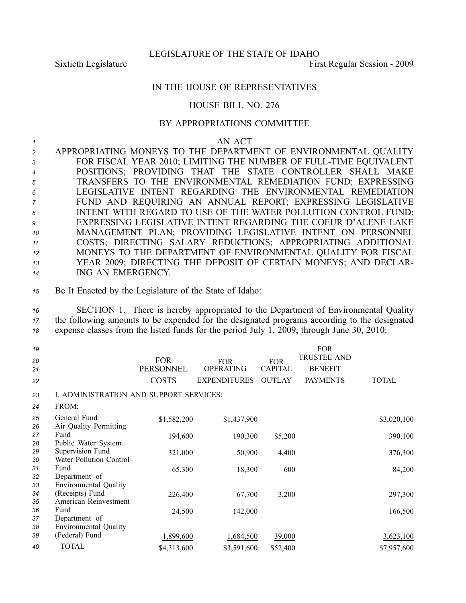LEGISLATURE OF THE STATE OF IDAHO

Sixtieth Legislature **First** Regular Session - 2009

## IN THE HOUSE OF REPRESENTATIVES

## HOUSE BILL NO. 276

## BY APPROPRIATIONS COMMITTEE

*1* AN ACT

 APPROPRIATING MONEYS TO THE DEPARTMENT OF ENVIRONMENTAL QUALITY FOR FISCAL YEAR 2010; LIMITING THE NUMBER OF FULLTIME EQUIVALENT POSITIONS; PROVIDING THAT THE STATE CONTROLLER SHALL MAKE TRANSFERS TO THE ENVIRONMENTAL REMEDIATION FUND; EXPRESSING LEGISLATIVE INTENT REGARDING THE ENVIRONMENTAL REMEDIATION FUND AND REQUIRING AN ANNUAL REPORT; EXPRESSING LEGISLATIVE INTENT WITH REGARD TO USE OF THE WATER POLLUTION CONTROL FUND; EXPRESSING LEGISLATIVE INTENT REGARDING THE COEUR D'ALENE LAKE MANAGEMENT PLAN; PROVIDING LEGISLATIVE INTENT ON PERSONNEL COSTS; DIRECTING SALARY REDUCTIONS; APPROPRIATING ADDITIONAL MONEYS TO THE DEPARTMENT OF ENVIRONMENTAL QUALITY FOR FISCAL YEAR 2009; DIRECTING THE DEPOSIT OF CERTAIN MONEYS; AND DECLAR-ING AN EMERGENCY.

*<sup>15</sup>* Be It Enacted by the Legislature of the State of Idaho:

*<sup>16</sup>* SECTION 1. There is hereby appropriated to the Department of Environmental Quality *<sup>17</sup>* the following amounts to be expended for the designated programs according to the designated *<sup>18</sup>* expense classes from the listed funds for the period July 1, 2009, through June 30, 2010:

| 19 |                                         |                  |                     |                | <b>FOR</b>         |              |
|----|-----------------------------------------|------------------|---------------------|----------------|--------------------|--------------|
| 20 |                                         | <b>FOR</b>       | <b>FOR</b>          | <b>FOR</b>     | <b>TRUSTEE AND</b> |              |
| 21 |                                         | <b>PERSONNEL</b> | <b>OPERATING</b>    | <b>CAPITAL</b> | <b>BENEFIT</b>     |              |
| 22 |                                         | <b>COSTS</b>     | <b>EXPENDITURES</b> | <b>OUTLAY</b>  | <b>PAYMENTS</b>    | <b>TOTAL</b> |
| 23 | I. ADMINISTRATION AND SUPPORT SERVICES: |                  |                     |                |                    |              |
| 24 | FROM:                                   |                  |                     |                |                    |              |
| 25 | General Fund                            | \$1,582,200      | \$1,437,900         |                |                    | \$3,020,100  |
| 26 | Air Quality Permitting                  |                  |                     |                |                    |              |
| 27 | Fund                                    | 194,600          | 190,300             | \$5,200        |                    | 390,100      |
| 28 | Public Water System                     |                  |                     |                |                    |              |
| 29 | Supervision Fund                        | 321,000          | 50,900              | 4,400          |                    | 376,300      |
| 30 | Water Pollution Control                 |                  |                     |                |                    |              |
| 31 | Fund                                    | 65,300           | 18,300              | 600            |                    | 84,200       |
| 32 | Department of                           |                  |                     |                |                    |              |
| 33 | <b>Environmental Quality</b>            |                  |                     |                |                    |              |
| 34 | (Receipts) Fund                         | 226,400          | 67,700              | 3,200          |                    | 297,300      |
| 35 | American Reinvestment                   |                  |                     |                |                    |              |
| 36 | Fund                                    | 24,500           | 142,000             |                |                    | 166,500      |
| 37 | Department of                           |                  |                     |                |                    |              |
| 38 | <b>Environmental Quality</b>            |                  |                     |                |                    |              |
| 39 | (Federal) Fund                          | 1,899,600        | 1,684,500           | 39,000         |                    | 3,623,100    |
| 40 | <b>TOTAL</b>                            | \$4,313,600      | \$3,591,600         | \$52,400       |                    | \$7,957,600  |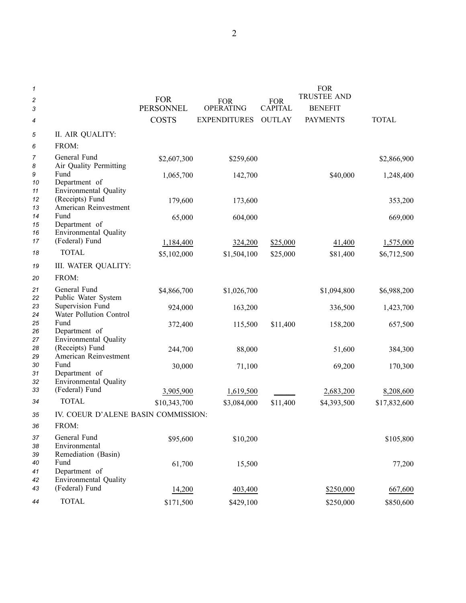| 1<br>2<br>3    |                                                       | <b>FOR</b><br><b>PERSONNEL</b> | <b>FOR</b><br><b>OPERATING</b> | <b>FOR</b><br><b>CAPITAL</b> | <b>FOR</b><br><b>TRUSTEE AND</b><br><b>BENEFIT</b> |              |
|----------------|-------------------------------------------------------|--------------------------------|--------------------------------|------------------------------|----------------------------------------------------|--------------|
| 4              |                                                       | <b>COSTS</b>                   | <b>EXPENDITURES</b>            | <b>OUTLAY</b>                | <b>PAYMENTS</b>                                    | <b>TOTAL</b> |
| 5              | II. AIR QUALITY:                                      |                                |                                |                              |                                                    |              |
| 6              | FROM:                                                 |                                |                                |                              |                                                    |              |
| 7<br>8         | General Fund<br>Air Quality Permitting                | \$2,607,300                    | \$259,600                      |                              |                                                    | \$2,866,900  |
| 9<br>10<br>11  | Fund<br>Department of<br><b>Environmental Quality</b> | 1,065,700                      | 142,700                        |                              | \$40,000                                           | 1,248,400    |
| 12<br>13       | (Receipts) Fund<br>American Reinvestment              | 179,600                        | 173,600                        |                              |                                                    | 353,200      |
| 14<br>15       | Fund<br>Department of                                 | 65,000                         | 604,000                        |                              |                                                    | 669,000      |
| 16<br>17       | <b>Environmental Quality</b><br>(Federal) Fund        | 1,184,400                      | 324,200                        | \$25,000                     | 41,400                                             | 1,575,000    |
| 18             | <b>TOTAL</b>                                          | \$5,102,000                    | \$1,504,100                    | \$25,000                     | \$81,400                                           | \$6,712,500  |
| 19             | III. WATER QUALITY:                                   |                                |                                |                              |                                                    |              |
| 20             | FROM:                                                 |                                |                                |                              |                                                    |              |
| 21<br>22       | General Fund<br>Public Water System                   | \$4,866,700                    | \$1,026,700                    |                              | \$1,094,800                                        | \$6,988,200  |
| 23<br>24       | Supervision Fund<br>Water Pollution Control           | 924,000                        | 163,200                        |                              | 336,500                                            | 1,423,700    |
| 25<br>26<br>27 | Fund<br>Department of<br><b>Environmental Quality</b> | 372,400                        | 115,500                        | \$11,400                     | 158,200                                            | 657,500      |
| 28<br>29       | (Receipts) Fund<br>American Reinvestment              | 244,700                        | 88,000                         |                              | 51,600                                             | 384,300      |
| 30<br>31<br>32 | Fund<br>Department of<br>Environmental Quality        | 30,000                         | 71,100                         |                              | 69,200                                             | 170,300      |
| 33             | (Federal) Fund                                        | 3,905,900                      | 1,619,500                      |                              | 2,683,200                                          | 8,208,600    |
| 34             | <b>TOTAL</b>                                          | \$10,343,700                   | \$3,084,000                    | \$11,400                     | \$4,393,500                                        | \$17,832,600 |
| 35             | IV. COEUR D'ALENE BASIN COMMISSION:                   |                                |                                |                              |                                                    |              |
| 36             | FROM:                                                 |                                |                                |                              |                                                    |              |
| 37<br>38<br>39 | General Fund<br>Environmental<br>Remediation (Basin)  | \$95,600                       | \$10,200                       |                              |                                                    | \$105,800    |
| 40<br>41       | Fund<br>Department of                                 | 61,700                         | 15,500                         |                              |                                                    | 77,200       |
| 42<br>43       | <b>Environmental Quality</b><br>(Federal) Fund        | 14,200                         | 403,400                        |                              | \$250,000                                          | 667,600      |
| 44             | <b>TOTAL</b>                                          | \$171,500                      | \$429,100                      |                              | \$250,000                                          | \$850,600    |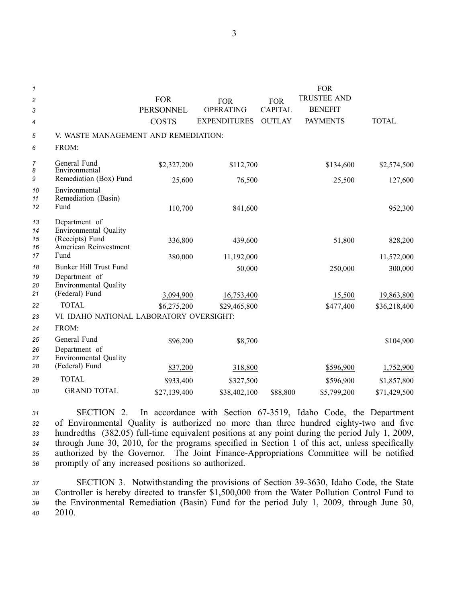| 1              |                                                                  |                  |                     |                | <b>FOR</b>         |              |
|----------------|------------------------------------------------------------------|------------------|---------------------|----------------|--------------------|--------------|
| 2              |                                                                  | <b>FOR</b>       | <b>FOR</b>          | <b>FOR</b>     | <b>TRUSTEE AND</b> |              |
| 3              |                                                                  | <b>PERSONNEL</b> | <b>OPERATING</b>    | <b>CAPITAL</b> | <b>BENEFIT</b>     |              |
| 4              |                                                                  | <b>COSTS</b>     | <b>EXPENDITURES</b> | <b>OUTLAY</b>  | <b>PAYMENTS</b>    | <b>TOTAL</b> |
| 5              | V. WASTE MANAGEMENT AND REMEDIATION:                             |                  |                     |                |                    |              |
| 6              | FROM:                                                            |                  |                     |                |                    |              |
| 7<br>8         | General Fund<br>Environmental                                    | \$2,327,200      | \$112,700           |                | \$134,600          | \$2,574,500  |
| 9              | Remediation (Box) Fund                                           | 25,600           | 76,500              |                | 25,500             | 127,600      |
| 10<br>11<br>12 | Environmental<br>Remediation (Basin)<br>Fund                     | 110,700          | 841,600             |                |                    | 952,300      |
| 13<br>14<br>15 | Department of<br><b>Environmental Quality</b><br>(Receipts) Fund | 336,800          | 439,600             |                | 51,800             | 828,200      |
| 16             | American Reinvestment                                            |                  |                     |                |                    |              |
| 17             | Fund                                                             | 380,000          | 11,192,000          |                |                    | 11,572,000   |
| 18             | Bunker Hill Trust Fund                                           |                  | 50,000              |                | 250,000            | 300,000      |
| 19<br>20       | Department of<br><b>Environmental Quality</b>                    |                  |                     |                |                    |              |
| 21             | (Federal) Fund                                                   | 3,094,900        | 16,753,400          |                | 15,500             | 19,863,800   |
| 22             | <b>TOTAL</b>                                                     | \$6,275,200      | \$29,465,800        |                | \$477,400          | \$36,218,400 |
| 23             | VI. IDAHO NATIONAL LABORATORY OVERSIGHT:                         |                  |                     |                |                    |              |
| 24             | FROM:                                                            |                  |                     |                |                    |              |
| 25<br>26<br>27 | General Fund<br>Department of<br><b>Environmental Quality</b>    | \$96,200         | \$8,700             |                |                    | \$104,900    |
| 28             | (Federal) Fund                                                   | 837,200          | 318,800             |                | \$596,900          | 1,752,900    |
| 29             | <b>TOTAL</b>                                                     | \$933,400        | \$327,500           |                | \$596,900          | \$1,857,800  |
| 30             | <b>GRAND TOTAL</b>                                               | \$27,139,400     | \$38,402,100        | \$88,800       | \$5,799,200        | \$71,429,500 |

*<sup>31</sup>* SECTION 2. In accordance with Section 673519, Idaho Code, the Department 32 of Environmental Quality is authorized no more than three hundred eighty-two and five 33 hundredths (382.05) full-time equivalent positions at any point during the period July 1, 2009, *<sup>34</sup>* through June 30, 2010, for the programs specified in Section 1 of this act, unless specifically 35 authorized by the Governor. The Joint Finance-Appropriations Committee will be notified *<sup>36</sup>* promptly of any increased positions so authorized.

37 SECTION 3. Notwithstanding the provisions of Section 39-3630, Idaho Code, the State *<sup>38</sup>* Controller is hereby directed to transfer \$1,500,000 from the Water Pollution Control Fund to *<sup>39</sup>* the Environmental Remediation (Basin) Fund for the period July 1, 2009, through June 30, *40* 2010.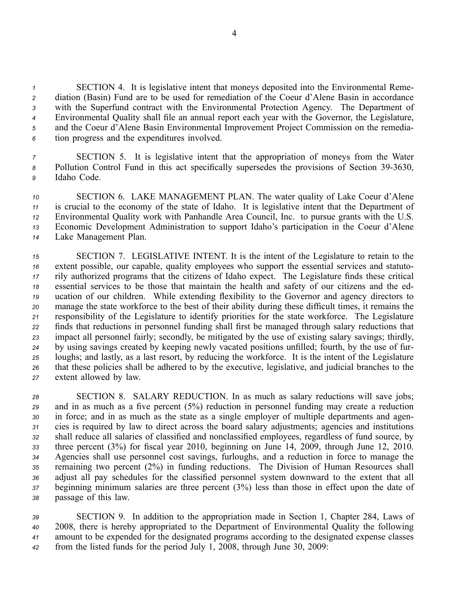SECTION 4. It is legislative intent that moneys deposited into the Environmental Reme- diation (Basin) Fund are to be used for remediation of the Coeur d'Alene Basin in accordance with the Superfund contract with the Environmental Protection Agency. The Department of Environmental Quality shall file an annual repor<sup>t</sup> each year with the Governor, the Legislature, and the Coeur d'Alene Basin Environmental Improvement Project Commission on the remedia-tion progress and the expenditures involved.

*<sup>7</sup>* SECTION 5. It is legislative intent that the appropriation of moneys from the Water 8 Pollution Control Fund in this act specifically supersedes the provisions of Section 39-3630, *<sup>9</sup>* Idaho Code.

 SECTION 6. LAKE MANAGEMENT PLAN. The water quality of Lake Coeur d'Alene is crucial to the economy of the state of Idaho. It is legislative intent that the Department of Environmental Quality work with Panhandle Area Council, Inc. to pursue grants with the U.S. Economic Development Administration to suppor<sup>t</sup> Idaho's participation in the Coeur d'Alene Lake Management Plan.

 SECTION 7. LEGISLATIVE INTENT. It is the intent of the Legislature to retain to the extent possible, our capable, quality employees who suppor<sup>t</sup> the essential services and statuto- rily authorized programs that the citizens of Idaho expect. The Legislature finds these critical essential services to be those that maintain the health and safety of our citizens and the ed- ucation of our children. While extending flexibility to the Governor and agency directors to manage the state workforce to the best of their ability during these difficult times, it remains the responsibility of the Legislature to identify priorities for the state workforce. The Legislature finds that reductions in personnel funding shall first be managed through salary reductions that impact all personnel fairly; secondly, be mitigated by the use of existing salary savings; thirdly, by using savings created by keeping newly vacated positions unfilled; fourth, by the use of fur- loughs; and lastly, as <sup>a</sup> last resort, by reducing the workforce. It is the intent of the Legislature that these policies shall be adhered to by the executive, legislative, and judicial branches to the extent allowed by law.

 SECTION 8. SALARY REDUCTION. In as much as salary reductions will save jobs; and in as much as <sup>a</sup> five percen<sup>t</sup> (5%) reduction in personnel funding may create <sup>a</sup> reduction in force; and in as much as the state as <sup>a</sup> single employer of multiple departments and agen- cies is required by law to direct across the board salary adjustments; agencies and institutions shall reduce all salaries of classified and nonclassified employees, regardless of fund source, by three percen<sup>t</sup> (3%) for fiscal year 2010, beginning on June 14, 2009, through June 12, 2010. Agencies shall use personnel cost savings, furloughs, and <sup>a</sup> reduction in force to manage the remaining two percen<sup>t</sup> (2%) in funding reductions. The Division of Human Resources shall adjust all pay schedules for the classified personnel system downward to the extent that all beginning minimum salaries are three percen<sup>t</sup> (3%) less than those in effect upon the date of passage of this law.

 SECTION 9. In addition to the appropriation made in Section 1, Chapter 284, Laws of 2008, there is hereby appropriated to the Department of Environmental Quality the following amount to be expended for the designated programs according to the designated expense classes from the listed funds for the period July 1, 2008, through June 30, 2009: